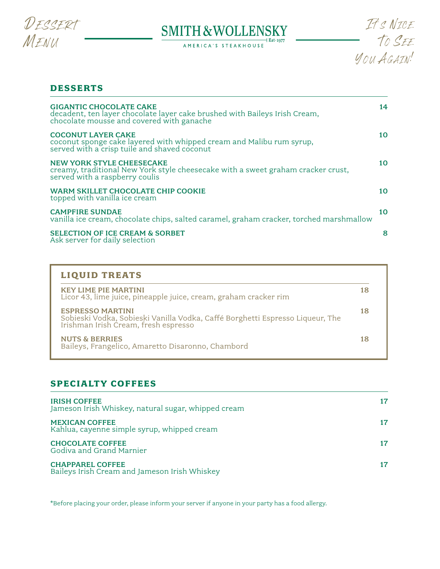

# 



## **DESSERTS**

| <b>GIGANTIC CHOCOLATE CAKE</b><br>decadent, ten layer chocolate layer cake brushed with Baileys Irish Cream,<br>chocolate mousse and covered with ganache | 14 |
|-----------------------------------------------------------------------------------------------------------------------------------------------------------|----|
| <b>COCONUT LAYER CAKE</b><br>coconut sponge cake layered with whipped cream and Malibu rum syrup, served with a crisp tuile and shaved coconut            | 10 |
| <b>NEW YORK STYLE CHEESECAKE</b><br>creamy, traditional New York style cheesecake with a sweet graham cracker crust,<br>served with a raspberry coulis    | 10 |
| WARM SKILLET CHOCOLATE CHIP COOKIE<br>topped with vanilla ice cream                                                                                       | 10 |
| <b>CAMPFIRE SUNDAE</b><br>vanilla ice cream, chocolate chips, salted caramel, graham cracker, torched marshmallow                                         | 10 |
| <b>SELECTION OF ICE CREAM &amp; SORBET</b><br>Ask server for daily selection                                                                              | 8  |

| <b>KEY LIME PIE MARTINI</b><br>Licor 43, lime juice, pineapple juice, cream, graham cracker rim                                               | 18 |
|-----------------------------------------------------------------------------------------------------------------------------------------------|----|
| <b>ESPRESSO MARTINI</b><br>Sobieski Vodka, Sobieski Vanilla Vodka, Caffé Borghetti Espresso Liqueur, The Irishman Irish Cream, fresh espresso | 18 |
| <b>NUTS &amp; BERRIES</b><br>Baileys, Frangelico, Amaretto Disaronno, Chambord                                                                | 18 |

## **SPECIALTY COFFEES**

| <b>IRISH COFFEE</b><br>Jameson Irish Whiskey, natural sugar, whipped cream | 17 |
|----------------------------------------------------------------------------|----|
| <b>MEXICAN COFFEE</b><br>Kahlua, cayenne simple syrup, whipped cream       |    |
| <b>CHOCOLATE COFFEE</b><br>Godiva and Grand Marnier                        | 17 |
| <b>CHAPPAREL COFFEE</b><br>Baileys Irish Cream and Jameson Irish Whiskey   |    |

\*Before placing your order, please inform your server if anyone in your party has a food allergy.